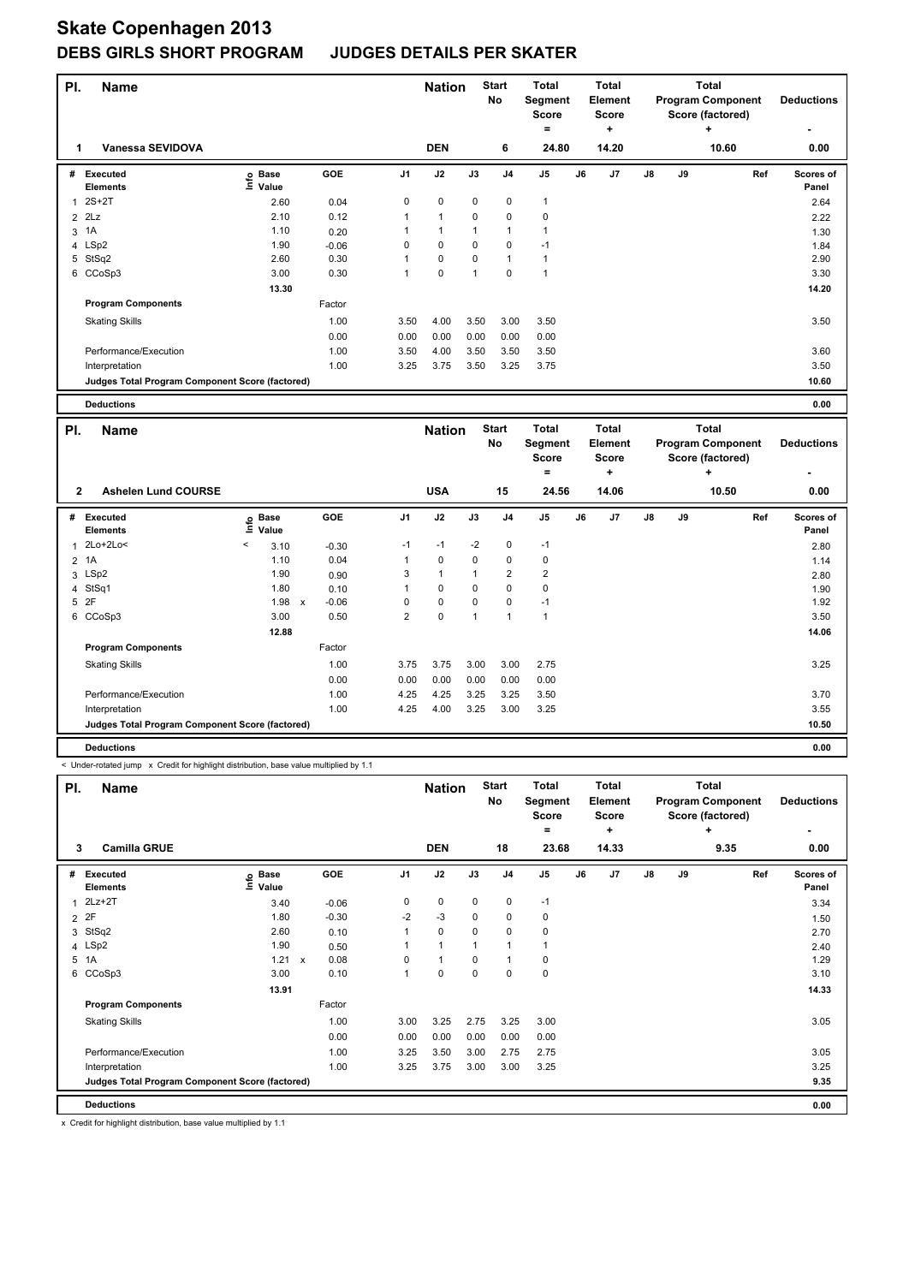| PI.            | <b>Name</b>                                     |                   |         |                | <b>Nation</b>  |             | <b>Start</b><br>No | <b>Total</b><br>Segment<br><b>Score</b><br>$\equiv$ |    | <b>Total</b><br>Element<br><b>Score</b><br>÷ | <b>Total</b><br><b>Program Component</b><br>Score (factored)<br>÷<br>10.60 |    |     | <b>Deductions</b>         |
|----------------|-------------------------------------------------|-------------------|---------|----------------|----------------|-------------|--------------------|-----------------------------------------------------|----|----------------------------------------------|----------------------------------------------------------------------------|----|-----|---------------------------|
|                | Vanessa SEVIDOVA                                |                   |         |                | <b>DEN</b>     |             | 6                  | 24.80                                               |    | 14.20                                        |                                                                            |    |     | 0.00                      |
| #              | Executed<br><b>Elements</b>                     | e Base<br>⊆ Value | GOE     | J <sub>1</sub> | J2             | J3          | J <sub>4</sub>     | J <sub>5</sub>                                      | J6 | J7                                           | $\mathsf{J}8$                                                              | J9 | Ref | <b>Scores of</b><br>Panel |
| 1              | 2S+2T                                           | 2.60              | 0.04    | 0              | 0              | 0           | $\mathbf 0$        | 1                                                   |    |                                              |                                                                            |    |     | 2.64                      |
| $\overline{2}$ | 2Lz                                             | 2.10              | 0.12    | 1              | $\overline{1}$ | $\mathbf 0$ | $\mathbf 0$        | 0                                                   |    |                                              |                                                                            |    |     | 2.22                      |
| 3              | 1A                                              | 1.10              | 0.20    | 1              | 1              |             | $\overline{1}$     |                                                     |    |                                              |                                                                            |    |     | 1.30                      |
|                | 4 LSp2                                          | 1.90              | $-0.06$ | 0              | 0              | 0           | $\mathbf 0$        | $-1$                                                |    |                                              |                                                                            |    |     | 1.84                      |
|                | 5 StSq2                                         | 2.60              | 0.30    | 1              | $\mathbf 0$    | 0           | $\overline{1}$     |                                                     |    |                                              |                                                                            |    |     | 2.90                      |
|                | 6 CCoSp3                                        | 3.00              | 0.30    | 1              | $\pmb{0}$      | и           | $\mathbf 0$        |                                                     |    |                                              |                                                                            |    |     | 3.30                      |
|                |                                                 | 13.30             |         |                |                |             |                    |                                                     |    |                                              |                                                                            |    |     | 14.20                     |
|                | <b>Program Components</b>                       |                   | Factor  |                |                |             |                    |                                                     |    |                                              |                                                                            |    |     |                           |
|                | <b>Skating Skills</b>                           |                   | 1.00    | 3.50           | 4.00           | 3.50        | 3.00               | 3.50                                                |    |                                              |                                                                            |    |     | 3.50                      |
|                |                                                 |                   | 0.00    | 0.00           | 0.00           | 0.00        | 0.00               | 0.00                                                |    |                                              |                                                                            |    |     |                           |
|                | Performance/Execution                           |                   | 1.00    | 3.50           | 4.00           | 3.50        | 3.50               | 3.50                                                |    |                                              |                                                                            |    |     | 3.60                      |
|                | Interpretation                                  |                   | 1.00    | 3.25           | 3.75           | 3.50        | 3.25               | 3.75                                                |    |                                              |                                                                            |    |     | 3.50                      |
|                | Judges Total Program Component Score (factored) |                   |         |                |                |             |                    |                                                     |    |                                              |                                                                            |    |     | 10.60                     |
|                | <b>Deductions</b>                               |                   |         |                |                |             |                    |                                                     |    |                                              |                                                                            |    |     | 0.00                      |

| PI.            | <b>Name</b>                                     |         |                            | <b>Nation</b>             |            | <b>Start</b><br>No | <b>Total</b><br>Segment<br><b>Score</b> |          | <b>Total</b><br>Element<br><b>Score</b> |                         |    | <b>Total</b><br><b>Program Component</b><br>Score (factored) | <b>Deductions</b> |    |       |                    |
|----------------|-------------------------------------------------|---------|----------------------------|---------------------------|------------|--------------------|-----------------------------------------|----------|-----------------------------------------|-------------------------|----|--------------------------------------------------------------|-------------------|----|-------|--------------------|
|                |                                                 |         |                            |                           |            |                    |                                         |          |                                         | =                       |    | ٠                                                            |                   |    | ÷     | ٠                  |
| $\overline{2}$ | <b>Ashelen Lund COURSE</b>                      |         |                            |                           |            |                    | <b>USA</b>                              |          | 15                                      | 24.56                   |    | 14.06                                                        |                   |    | 10.50 | 0.00               |
| #              | <b>Executed</b><br><b>Elements</b>              |         | e Base<br>E Value<br>Value |                           | <b>GOE</b> | J <sub>1</sub>     | J2                                      | J3       | J <sub>4</sub>                          | J <sub>5</sub>          | J6 | J7                                                           | $\mathsf{J}8$     | J9 | Ref   | Scores of<br>Panel |
| 1              | 2Lo+2Lo<                                        | $\,<\,$ | 3.10                       |                           | $-0.30$    | $-1$               | $-1$                                    | $-2$     | 0                                       | $-1$                    |    |                                                              |                   |    |       | 2.80               |
| $\overline{2}$ | 1A                                              |         | 1.10                       |                           | 0.04       |                    | $\mathbf 0$                             | 0        | 0                                       | 0                       |    |                                                              |                   |    |       | 1.14               |
|                | 3 LSp2                                          |         | 1.90                       |                           | 0.90       | 3                  | $\mathbf{1}$                            |          | $\overline{2}$                          | $\overline{\mathbf{c}}$ |    |                                                              |                   |    |       | 2.80               |
|                | 4 StSq1                                         |         | 1.80                       |                           | 0.10       |                    | 0                                       | 0        | 0                                       | 0                       |    |                                                              |                   |    |       | 1.90               |
| 5              | 2F                                              |         | 1.98                       | $\boldsymbol{\mathsf{x}}$ | $-0.06$    | $\Omega$           | 0                                       | $\Omega$ | 0                                       | $-1$                    |    |                                                              |                   |    |       | 1.92               |
| 6              | CCoSp3                                          |         | 3.00                       |                           | 0.50       | $\overline{2}$     | $\mathbf 0$                             |          | 1                                       | $\mathbf{1}$            |    |                                                              |                   |    |       | 3.50               |
|                |                                                 |         | 12.88                      |                           |            |                    |                                         |          |                                         |                         |    |                                                              |                   |    |       | 14.06              |
|                | <b>Program Components</b>                       |         |                            |                           | Factor     |                    |                                         |          |                                         |                         |    |                                                              |                   |    |       |                    |
|                | <b>Skating Skills</b>                           |         |                            |                           | 1.00       | 3.75               | 3.75                                    | 3.00     | 3.00                                    | 2.75                    |    |                                                              |                   |    |       | 3.25               |
|                |                                                 |         |                            |                           | 0.00       | 0.00               | 0.00                                    | 0.00     | 0.00                                    | 0.00                    |    |                                                              |                   |    |       |                    |
|                | Performance/Execution                           |         |                            |                           | 1.00       | 4.25               | 4.25                                    | 3.25     | 3.25                                    | 3.50                    |    |                                                              |                   |    |       | 3.70               |
|                | Interpretation                                  |         |                            |                           | 1.00       | 4.25               | 4.00                                    | 3.25     | 3.00                                    | 3.25                    |    |                                                              |                   |    |       | 3.55               |
|                | Judges Total Program Component Score (factored) |         |                            |                           |            |                    |                                         |          |                                         |                         |    |                                                              |                   |    |       | 10.50              |
|                | <b>Deductions</b>                               |         |                            |                           |            |                    |                                         |          |                                         |                         |    |                                                              |                   |    |       | 0.00               |

< Under-rotated jump x Credit for highlight distribution, base value multiplied by 1.1

| PI.            | <b>Name</b>                                     |                              | <b>Nation</b> |                  | <b>Start</b><br>No   | <b>Total</b><br>Segment<br><b>Score</b><br>۰ |                | Total<br>Element<br><b>Score</b><br>÷ |    |                | Total<br><b>Program Component</b><br>Score (factored)<br>÷ | <b>Deductions</b> |      |                    |
|----------------|-------------------------------------------------|------------------------------|---------------|------------------|----------------------|----------------------------------------------|----------------|---------------------------------------|----|----------------|------------------------------------------------------------|-------------------|------|--------------------|
| 3              | <b>Camilla GRUE</b>                             |                              |               |                  | <b>DEN</b>           |                                              | 18             | 23.68                                 |    | 14.33          |                                                            |                   | 9.35 | ۰<br>0.00          |
| #              | Executed<br><b>Elements</b>                     | <b>Base</b><br>lnfo<br>Value | <b>GOE</b>    | J1               | J2                   | J3                                           | J <sub>4</sub> | J <sub>5</sub>                        | J6 | J <sub>7</sub> | $\mathsf{J}8$                                              | J9                | Ref  | Scores of<br>Panel |
| 1              | $2Lz+2T$                                        | 3.40                         |               | 0<br>$-0.06$     | $\mathbf 0$          | $\mathbf 0$                                  | $\mathbf 0$    | $-1$                                  |    |                |                                                            |                   |      | 3.34               |
| $\overline{2}$ | 2F                                              | 1.80                         |               | $-0.30$<br>$-2$  | $-3$                 | 0                                            | $\mathbf 0$    | 0                                     |    |                |                                                            |                   |      | 1.50               |
| 3              | StSq2                                           | 2.60                         |               | 1<br>0.10        | $\mathbf 0$          | $\Omega$                                     | $\mathbf 0$    | 0                                     |    |                |                                                            |                   |      | 2.70               |
|                | 4 LSp2                                          | 1.90                         |               | 1<br>0.50        | $\blacktriangleleft$ |                                              | 1              | 1                                     |    |                |                                                            |                   |      | 2.40               |
| 5              | 1A                                              | 1.21                         | $\mathsf{x}$  | 0.08<br>$\Omega$ | $\blacktriangleleft$ | $\Omega$                                     | $\mathbf{1}$   | 0                                     |    |                |                                                            |                   |      | 1.29               |
|                | 6 CCoSp3                                        | 3.00                         |               | 0.10<br>1        | $\mathbf 0$          | 0                                            | $\mathbf 0$    | 0                                     |    |                |                                                            |                   |      | 3.10               |
|                |                                                 | 13.91                        |               |                  |                      |                                              |                |                                       |    |                |                                                            |                   |      | 14.33              |
|                | <b>Program Components</b>                       |                              | Factor        |                  |                      |                                              |                |                                       |    |                |                                                            |                   |      |                    |
|                | <b>Skating Skills</b>                           |                              |               | 3.00<br>1.00     | 3.25                 | 2.75                                         | 3.25           | 3.00                                  |    |                |                                                            |                   |      | 3.05               |
|                |                                                 |                              |               | 0.00<br>0.00     | 0.00                 | 0.00                                         | 0.00           | 0.00                                  |    |                |                                                            |                   |      |                    |
|                | Performance/Execution                           |                              |               | 1.00<br>3.25     | 3.50                 | 3.00                                         | 2.75           | 2.75                                  |    |                |                                                            |                   |      | 3.05               |
|                | Interpretation                                  |                              |               | 1.00<br>3.25     | 3.75                 | 3.00                                         | 3.00           | 3.25                                  |    |                |                                                            |                   |      | 3.25               |
|                | Judges Total Program Component Score (factored) |                              |               |                  |                      |                                              |                |                                       |    |                |                                                            |                   |      | 9.35               |
|                | <b>Deductions</b>                               |                              |               |                  |                      |                                              |                |                                       |    |                |                                                            |                   |      | 0.00               |

x Credit for highlight distribution, base value multiplied by 1.1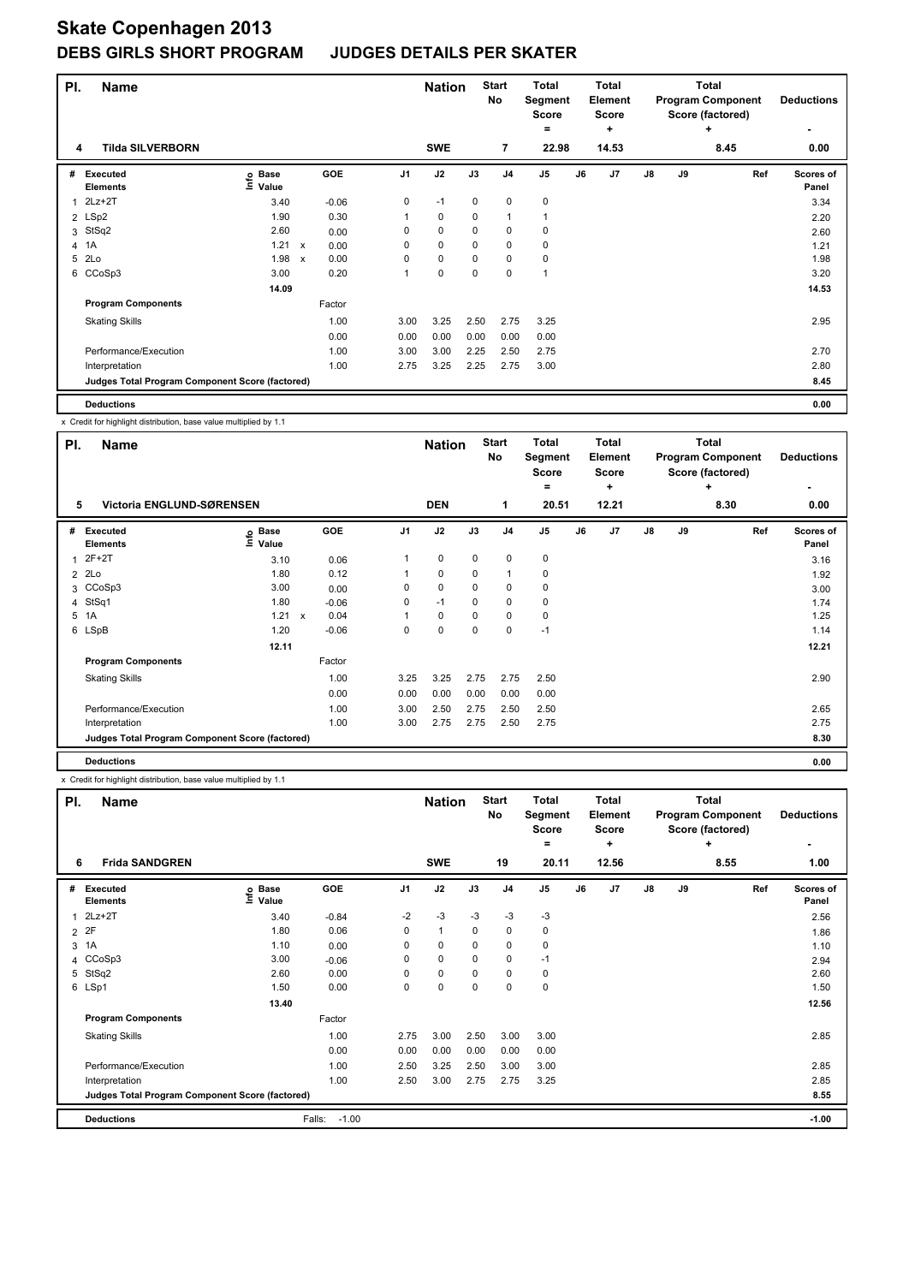| PI. | <b>Name</b>                                     |                              |                           | <b>Nation</b> |                | <b>Start</b><br>No | <b>Total</b><br>Segment<br><b>Score</b> |                | <b>Total</b><br><b>Element</b><br><b>Score</b> |    |                | <b>Total</b><br><b>Program Component</b><br>Score (factored) | <b>Deductions</b> |           |                    |
|-----|-------------------------------------------------|------------------------------|---------------------------|---------------|----------------|--------------------|-----------------------------------------|----------------|------------------------------------------------|----|----------------|--------------------------------------------------------------|-------------------|-----------|--------------------|
| 4   | <b>Tilda SILVERBORN</b>                         |                              |                           |               |                | <b>SWE</b>         |                                         | $\overline{7}$ | =<br>22.98                                     |    | ٠<br>14.53     |                                                              |                   | ٠<br>8.45 | ٠<br>0.00          |
| #   | Executed<br><b>Elements</b>                     | <b>Base</b><br>Info<br>Value |                           | <b>GOE</b>    | J <sub>1</sub> | J2                 | J3                                      | J <sub>4</sub> | J <sub>5</sub>                                 | J6 | J <sub>7</sub> | $\mathsf{J}8$                                                | J9                | Ref       | Scores of<br>Panel |
| 1   | $2Lz+2T$                                        | 3.40                         |                           | $-0.06$       | 0              | $-1$               | 0                                       | 0              | 0                                              |    |                |                                                              |                   |           | 3.34               |
|     | 2 LSp2                                          | 1.90                         |                           | 0.30          | 1              | 0                  | 0                                       | 1              | 1                                              |    |                |                                                              |                   |           | 2.20               |
| 3   | StSq2                                           | 2.60                         |                           | 0.00          | 0              | $\mathbf 0$        | 0                                       | 0              | 0                                              |    |                |                                                              |                   |           | 2.60               |
|     | 4 1A                                            | 1.21                         | $\boldsymbol{\mathsf{x}}$ | 0.00          | 0              | $\mathbf 0$        | 0                                       | $\mathbf 0$    | 0                                              |    |                |                                                              |                   |           | 1.21               |
| 5   | 2Lo                                             | 1.98                         | $\boldsymbol{\mathsf{x}}$ | 0.00          | $\Omega$       | $\mathbf 0$        | $\Omega$                                | $\mathbf 0$    | 0                                              |    |                |                                                              |                   |           | 1.98               |
| 6   | CCoSp3                                          | 3.00                         |                           | 0.20          | 1              | 0                  | 0                                       | 0              | $\overline{1}$                                 |    |                |                                                              |                   |           | 3.20               |
|     |                                                 | 14.09                        |                           |               |                |                    |                                         |                |                                                |    |                |                                                              |                   |           | 14.53              |
|     | <b>Program Components</b>                       |                              |                           | Factor        |                |                    |                                         |                |                                                |    |                |                                                              |                   |           |                    |
|     | <b>Skating Skills</b>                           |                              |                           | 1.00          | 3.00           | 3.25               | 2.50                                    | 2.75           | 3.25                                           |    |                |                                                              |                   |           | 2.95               |
|     |                                                 |                              |                           | 0.00          | 0.00           | 0.00               | 0.00                                    | 0.00           | 0.00                                           |    |                |                                                              |                   |           |                    |
|     | Performance/Execution                           |                              |                           | 1.00          | 3.00           | 3.00               | 2.25                                    | 2.50           | 2.75                                           |    |                |                                                              |                   |           | 2.70               |
|     | Interpretation                                  |                              |                           | 1.00          | 2.75           | 3.25               | 2.25                                    | 2.75           | 3.00                                           |    |                |                                                              |                   |           | 2.80               |
|     | Judges Total Program Component Score (factored) |                              |                           |               |                |                    |                                         |                |                                                |    |                |                                                              |                   |           | 8.45               |
|     | <b>Deductions</b>                               |                              |                           |               |                |                    |                                         |                |                                                |    |                |                                                              |                   |           | 0.00               |

x Credit for highlight distribution, base value multiplied by 1.1

| PI.            | <b>Name</b>                                     |                   |  | <b>Nation</b> |                | <b>Start</b><br><b>No</b> | <b>Total</b><br>Segment<br><b>Score</b> |                | <b>Total</b><br>Element<br><b>Score</b> |    |                | <b>Total</b><br><b>Program Component</b><br>Score (factored) | <b>Deductions</b> |      |                           |
|----------------|-------------------------------------------------|-------------------|--|---------------|----------------|---------------------------|-----------------------------------------|----------------|-----------------------------------------|----|----------------|--------------------------------------------------------------|-------------------|------|---------------------------|
|                |                                                 |                   |  |               |                |                           |                                         |                | ۰                                       |    | ÷              |                                                              |                   | ÷    |                           |
| 5              | <b>Victoria ENGLUND-SØRENSEN</b>                |                   |  |               |                | <b>DEN</b>                |                                         | 1              | 20.51                                   |    | 12.21          |                                                              |                   | 8.30 | 0.00                      |
| #              | Executed<br><b>Elements</b>                     | e Base<br>⊆ Value |  | <b>GOE</b>    | J <sub>1</sub> | J2                        | J3                                      | J <sub>4</sub> | J <sub>5</sub>                          | J6 | J <sub>7</sub> | J8                                                           | J9                | Ref  | <b>Scores of</b><br>Panel |
| 1              | $2F+2T$                                         | 3.10              |  | 0.06          |                | $\pmb{0}$                 | 0                                       | 0              | 0                                       |    |                |                                                              |                   |      | 3.16                      |
|                | 2 2Lo                                           | 1.80              |  | 0.12          |                | $\mathbf 0$               | 0                                       | $\mathbf{1}$   | $\mathbf 0$                             |    |                |                                                              |                   |      | 1.92                      |
|                | 3 CCoSp3                                        | 3.00              |  | 0.00          | 0              | $\mathbf 0$               | $\mathbf 0$                             | $\mathbf 0$    | $\mathbf 0$                             |    |                |                                                              |                   |      | 3.00                      |
| $\overline{4}$ | StSq1                                           | 1.80              |  | $-0.06$       | 0              | $-1$                      | 0                                       | 0              | $\mathbf 0$                             |    |                |                                                              |                   |      | 1.74                      |
| 5              | 1A                                              | 1.21 x            |  | 0.04          |                | 0                         | 0                                       | 0              | 0                                       |    |                |                                                              |                   |      | 1.25                      |
|                | 6 LSpB                                          | 1.20              |  | $-0.06$       | 0              | $\mathbf 0$               | $\Omega$                                | $\mathbf 0$    | $-1$                                    |    |                |                                                              |                   |      | 1.14                      |
|                |                                                 | 12.11             |  |               |                |                           |                                         |                |                                         |    |                |                                                              |                   |      | 12.21                     |
|                | <b>Program Components</b>                       |                   |  | Factor        |                |                           |                                         |                |                                         |    |                |                                                              |                   |      |                           |
|                | <b>Skating Skills</b>                           |                   |  | 1.00          | 3.25           | 3.25                      | 2.75                                    | 2.75           | 2.50                                    |    |                |                                                              |                   |      | 2.90                      |
|                |                                                 |                   |  | 0.00          | 0.00           | 0.00                      | 0.00                                    | 0.00           | 0.00                                    |    |                |                                                              |                   |      |                           |
|                | Performance/Execution                           |                   |  | 1.00          | 3.00           | 2.50                      | 2.75                                    | 2.50           | 2.50                                    |    |                |                                                              |                   |      | 2.65                      |
|                | Interpretation                                  |                   |  | 1.00          | 3.00           | 2.75                      | 2.75                                    | 2.50           | 2.75                                    |    |                |                                                              |                   |      | 2.75                      |
|                | Judges Total Program Component Score (factored) |                   |  |               |                |                           |                                         |                |                                         |    |                |                                                              |                   |      | 8.30                      |
|                | <b>Deductions</b>                               |                   |  |               |                |                           |                                         |                |                                         |    |                |                                                              |                   |      | 0.00                      |

x Credit for highlight distribution, base value multiplied by 1.1

| PI. | <b>Name</b>                                     |                   |                   | <b>Nation</b>  |              | <b>Start</b><br>No | <b>Total</b><br>Segment<br><b>Score</b><br>۰ |                | <b>Total</b><br>Element<br><b>Score</b><br>÷ |       |               | <b>Total</b><br><b>Program Component</b><br>Score (factored)<br>÷ | <b>Deductions</b><br>٠ |                    |
|-----|-------------------------------------------------|-------------------|-------------------|----------------|--------------|--------------------|----------------------------------------------|----------------|----------------------------------------------|-------|---------------|-------------------------------------------------------------------|------------------------|--------------------|
| 6   | <b>Frida SANDGREN</b>                           |                   |                   |                | <b>SWE</b>   |                    | 19                                           | 20.11          |                                              | 12.56 |               |                                                                   | 8.55                   | 1.00               |
| #   | Executed<br><b>Elements</b>                     | e Base<br>E Value | GOE               | J <sub>1</sub> | J2           | J3                 | J <sub>4</sub>                               | J <sub>5</sub> | J6                                           | J7    | $\mathsf{J}8$ | J9                                                                | Ref                    | Scores of<br>Panel |
| 1   | $2Lz+2T$                                        | 3.40              | $-0.84$           | $-2$           | $-3$         | $-3$               | $-3$                                         | $-3$           |                                              |       |               |                                                                   |                        | 2.56               |
|     | 2 2F                                            | 1.80              | 0.06              | 0              | $\mathbf{1}$ | 0                  | 0                                            | 0              |                                              |       |               |                                                                   |                        | 1.86               |
|     | 3 1A                                            | 1.10              | 0.00              | 0              | 0            | $\Omega$           | $\mathbf 0$                                  | 0              |                                              |       |               |                                                                   |                        | 1.10               |
| 4   | CCoSp3                                          | 3.00              | $-0.06$           | 0              | 0            | 0                  | 0                                            | $-1$           |                                              |       |               |                                                                   |                        | 2.94               |
| 5   | StSq2                                           | 2.60              | 0.00              | 0              | 0            | 0                  | 0                                            | 0              |                                              |       |               |                                                                   |                        | 2.60               |
|     | 6 LSp1                                          | 1.50              | 0.00              | 0              | $\mathbf 0$  | 0                  | 0                                            | 0              |                                              |       |               |                                                                   |                        | 1.50               |
|     |                                                 | 13.40             |                   |                |              |                    |                                              |                |                                              |       |               |                                                                   |                        | 12.56              |
|     | <b>Program Components</b>                       |                   | Factor            |                |              |                    |                                              |                |                                              |       |               |                                                                   |                        |                    |
|     | <b>Skating Skills</b>                           |                   | 1.00              | 2.75           | 3.00         | 2.50               | 3.00                                         | 3.00           |                                              |       |               |                                                                   |                        | 2.85               |
|     |                                                 |                   | 0.00              | 0.00           | 0.00         | 0.00               | 0.00                                         | 0.00           |                                              |       |               |                                                                   |                        |                    |
|     | Performance/Execution                           |                   | 1.00              | 2.50           | 3.25         | 2.50               | 3.00                                         | 3.00           |                                              |       |               |                                                                   |                        | 2.85               |
|     | Interpretation                                  |                   | 1.00              | 2.50           | 3.00         | 2.75               | 2.75                                         | 3.25           |                                              |       |               |                                                                   |                        | 2.85               |
|     | Judges Total Program Component Score (factored) |                   |                   |                |              |                    |                                              |                |                                              |       |               |                                                                   |                        | 8.55               |
|     | <b>Deductions</b>                               |                   | $-1.00$<br>Falls: |                |              |                    |                                              |                |                                              |       |               |                                                                   |                        | $-1.00$            |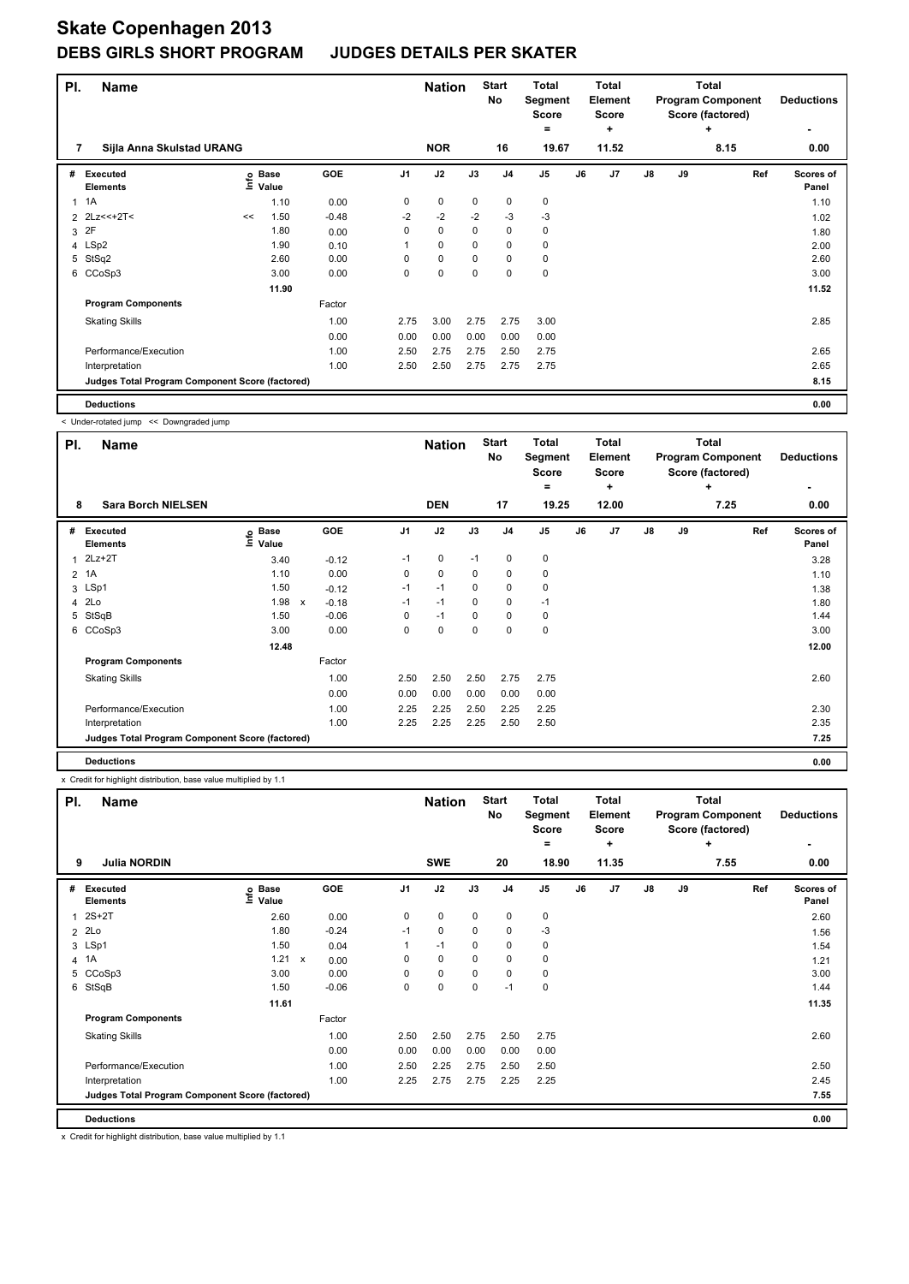| PI. | <b>Name</b>                                     |    |                   | <b>Nation</b> |                | <b>Start</b><br>No | <b>Total</b><br>Segment<br>Score<br>= |                | Total<br>Element<br><b>Score</b><br>÷ |    |       | <b>Total</b><br><b>Program Component</b><br>Score (factored)<br>٠ | <b>Deductions</b><br>٠ |      |                           |
|-----|-------------------------------------------------|----|-------------------|---------------|----------------|--------------------|---------------------------------------|----------------|---------------------------------------|----|-------|-------------------------------------------------------------------|------------------------|------|---------------------------|
| 7   | Sijla Anna Skulstad URANG                       |    |                   |               |                | <b>NOR</b>         |                                       | 16             | 19.67                                 |    | 11.52 |                                                                   |                        | 8.15 | 0.00                      |
| #   | <b>Executed</b><br><b>Elements</b>              |    | e Base<br>⊆ Value | <b>GOE</b>    | J <sub>1</sub> | J2                 | J3                                    | J <sub>4</sub> | J <sub>5</sub>                        | J6 | J7    | $\mathsf{J}8$                                                     | J9                     | Ref  | <b>Scores of</b><br>Panel |
| 1   | 1A                                              |    | 1.10              | 0.00          | 0              | 0                  | 0                                     | 0              | 0                                     |    |       |                                                                   |                        |      | 1.10                      |
|     | 2 2Lz << + 2T <                                 | << | 1.50              | $-0.48$       | -2             | $-2$               | $-2$                                  | -3             | $-3$                                  |    |       |                                                                   |                        |      | 1.02                      |
| 3   | 2F                                              |    | 1.80              | 0.00          | 0              | $\mathbf 0$        | 0                                     | $\mathbf 0$    | 0                                     |    |       |                                                                   |                        |      | 1.80                      |
|     | 4 LSp2                                          |    | 1.90              | 0.10          |                | 0                  | 0                                     | $\mathbf 0$    | 0                                     |    |       |                                                                   |                        |      | 2.00                      |
| 5   | StSq2                                           |    | 2.60              | 0.00          | $\Omega$       | $\mathbf 0$        | $\mathbf 0$                           | $\mathbf 0$    | $\mathbf 0$                           |    |       |                                                                   |                        |      | 2.60                      |
|     | 6 CCoSp3                                        |    | 3.00              | 0.00          | 0              | $\mathbf 0$        | $\mathbf 0$                           | $\mathbf 0$    | $\mathbf 0$                           |    |       |                                                                   |                        |      | 3.00                      |
|     |                                                 |    | 11.90             |               |                |                    |                                       |                |                                       |    |       |                                                                   |                        |      | 11.52                     |
|     | <b>Program Components</b>                       |    |                   | Factor        |                |                    |                                       |                |                                       |    |       |                                                                   |                        |      |                           |
|     | <b>Skating Skills</b>                           |    |                   | 1.00          | 2.75           | 3.00               | 2.75                                  | 2.75           | 3.00                                  |    |       |                                                                   |                        |      | 2.85                      |
|     |                                                 |    |                   | 0.00          | 0.00           | 0.00               | 0.00                                  | 0.00           | 0.00                                  |    |       |                                                                   |                        |      |                           |
|     | Performance/Execution                           |    |                   | 1.00          | 2.50           | 2.75               | 2.75                                  | 2.50           | 2.75                                  |    |       |                                                                   |                        |      | 2.65                      |
|     | Interpretation                                  |    |                   | 1.00          | 2.50           | 2.50               | 2.75                                  | 2.75           | 2.75                                  |    |       |                                                                   |                        |      | 2.65                      |
|     | Judges Total Program Component Score (factored) |    |                   |               |                |                    |                                       |                |                                       |    |       |                                                                   |                        |      | 8.15                      |
|     | <b>Deductions</b>                               |    |                   |               |                |                    |                                       |                |                                       |    |       |                                                                   |                        |      | 0.00                      |

< Under-rotated jump << Downgraded jump

| PI.            | Name                                            |                                  |   | <b>Nation</b> |                | <b>Start</b><br>No | <b>Total</b><br>Segment<br>Score<br>۰ |                | Total<br>Element<br><b>Score</b><br>÷ |    |       | <b>Total</b><br><b>Program Component</b><br>Score (factored)<br>÷ | <b>Deductions</b><br>۰ |      |                           |
|----------------|-------------------------------------------------|----------------------------------|---|---------------|----------------|--------------------|---------------------------------------|----------------|---------------------------------------|----|-------|-------------------------------------------------------------------|------------------------|------|---------------------------|
| 8              | <b>Sara Borch NIELSEN</b>                       |                                  |   |               |                | <b>DEN</b>         |                                       | 17             | 19.25                                 |    | 12.00 |                                                                   |                        | 7.25 | 0.00                      |
| #              | <b>Executed</b><br><b>Elements</b>              | <b>Base</b><br>e Base<br>⊆ Value |   | <b>GOE</b>    | J <sub>1</sub> | J2                 | J3                                    | J <sub>4</sub> | J <sub>5</sub>                        | J6 | J7    | $\mathsf{J}8$                                                     | J9                     | Ref  | <b>Scores of</b><br>Panel |
| 1              | $2Lz+2T$                                        | 3.40                             |   | $-0.12$       | $-1$           | 0                  | $-1$                                  | $\mathbf 0$    | $\mathbf 0$                           |    |       |                                                                   |                        |      | 3.28                      |
| $\overline{2}$ | 1A                                              | 1.10                             |   | 0.00          | 0              | $\mathbf 0$        | 0                                     | $\mathbf 0$    | 0                                     |    |       |                                                                   |                        |      | 1.10                      |
|                | 3 LSp1                                          | 1.50                             |   | $-0.12$       | $-1$           | $-1$               | $\Omega$                              | $\mathbf 0$    | $\mathbf 0$                           |    |       |                                                                   |                        |      | 1.38                      |
| 4              | 2Lo                                             | 1.98                             | х | $-0.18$       | $-1$           | $-1$               | 0                                     | 0              | $-1$                                  |    |       |                                                                   |                        |      | 1.80                      |
| 5              | StSqB                                           | 1.50                             |   | $-0.06$       | 0              | $-1$               | 0                                     | 0              | 0                                     |    |       |                                                                   |                        |      | 1.44                      |
|                | 6 CCoSp3                                        | 3.00                             |   | 0.00          | 0              | $\mathbf 0$        | 0                                     | $\mathbf 0$    | $\pmb{0}$                             |    |       |                                                                   |                        |      | 3.00                      |
|                |                                                 | 12.48                            |   |               |                |                    |                                       |                |                                       |    |       |                                                                   |                        |      | 12.00                     |
|                | <b>Program Components</b>                       |                                  |   | Factor        |                |                    |                                       |                |                                       |    |       |                                                                   |                        |      |                           |
|                | <b>Skating Skills</b>                           |                                  |   | 1.00          | 2.50           | 2.50               | 2.50                                  | 2.75           | 2.75                                  |    |       |                                                                   |                        |      | 2.60                      |
|                |                                                 |                                  |   | 0.00          | 0.00           | 0.00               | 0.00                                  | 0.00           | 0.00                                  |    |       |                                                                   |                        |      |                           |
|                | Performance/Execution                           |                                  |   | 1.00          | 2.25           | 2.25               | 2.50                                  | 2.25           | 2.25                                  |    |       |                                                                   |                        |      | 2.30                      |
|                | Interpretation                                  |                                  |   | 1.00          | 2.25           | 2.25               | 2.25                                  | 2.50           | 2.50                                  |    |       |                                                                   |                        |      | 2.35                      |
|                | Judges Total Program Component Score (factored) |                                  |   |               |                |                    |                                       |                |                                       |    |       |                                                                   |                        |      | 7.25                      |
|                | <b>Deductions</b>                               |                                  |   |               |                |                    |                                       |                |                                       |    |       |                                                                   |                        |      | 0.00                      |

x Credit for highlight distribution, base value multiplied by 1.1

| PI. | <b>Name</b>                                     |                            |              | <b>Nation</b> |      | <b>Start</b><br>No | <b>Total</b><br>Segment<br><b>Score</b> |                | <b>Total</b><br><b>Element</b><br><b>Score</b> |    |            | <b>Total</b><br><b>Program Component</b><br>Score (factored) | <b>Deductions</b> |           |                           |
|-----|-------------------------------------------------|----------------------------|--------------|---------------|------|--------------------|-----------------------------------------|----------------|------------------------------------------------|----|------------|--------------------------------------------------------------|-------------------|-----------|---------------------------|
| 9   | <b>Julia NORDIN</b>                             |                            |              |               |      | <b>SWE</b>         |                                         | 20             | $=$<br>18.90                                   |    | ٠<br>11.35 |                                                              |                   | ٠<br>7.55 | ٠<br>0.00                 |
| #   | <b>Executed</b><br><b>Elements</b>              | e Base<br>E Value<br>Value |              | <b>GOE</b>    | J1   | J2                 | J3                                      | J <sub>4</sub> | J <sub>5</sub>                                 | J6 | J7         | $\mathsf{J}8$                                                | J9                | Ref       | <b>Scores of</b><br>Panel |
| 1   | $2S+2T$                                         | 2.60                       |              | 0.00          | 0    | $\mathbf 0$        | $\mathbf 0$                             | $\mathbf 0$    | 0                                              |    |            |                                                              |                   |           | 2.60                      |
|     | $2$ $2Lo$                                       | 1.80                       |              | $-0.24$       | $-1$ | 0                  | 0                                       | 0              | -3                                             |    |            |                                                              |                   |           | 1.56                      |
|     | 3 LSp1                                          | 1.50                       |              | 0.04          | 1    | $-1$               | 0                                       | 0              | 0                                              |    |            |                                                              |                   |           | 1.54                      |
|     | 4 1A                                            | 1.21                       | $\mathsf{x}$ | 0.00          | 0    | $\mathbf 0$        | 0                                       | 0              | 0                                              |    |            |                                                              |                   |           | 1.21                      |
| 5   | CCoSp3                                          | 3.00                       |              | 0.00          | 0    | $\mathbf 0$        | 0                                       | $\mathbf 0$    | 0                                              |    |            |                                                              |                   |           | 3.00                      |
| 6   | StSqB                                           | 1.50                       |              | $-0.06$       | 0    | $\pmb{0}$          | 0                                       | $-1$           | 0                                              |    |            |                                                              |                   |           | 1.44                      |
|     |                                                 | 11.61                      |              |               |      |                    |                                         |                |                                                |    |            |                                                              |                   |           | 11.35                     |
|     | <b>Program Components</b>                       |                            |              | Factor        |      |                    |                                         |                |                                                |    |            |                                                              |                   |           |                           |
|     | <b>Skating Skills</b>                           |                            |              | 1.00          | 2.50 | 2.50               | 2.75                                    | 2.50           | 2.75                                           |    |            |                                                              |                   |           | 2.60                      |
|     |                                                 |                            |              | 0.00          | 0.00 | 0.00               | 0.00                                    | 0.00           | 0.00                                           |    |            |                                                              |                   |           |                           |
|     | Performance/Execution                           |                            |              | 1.00          | 2.50 | 2.25               | 2.75                                    | 2.50           | 2.50                                           |    |            |                                                              |                   |           | 2.50                      |
|     | Interpretation                                  |                            |              | 1.00          | 2.25 | 2.75               | 2.75                                    | 2.25           | 2.25                                           |    |            |                                                              |                   |           | 2.45                      |
|     | Judges Total Program Component Score (factored) |                            |              |               |      |                    |                                         |                |                                                |    |            |                                                              |                   |           | 7.55                      |
|     | <b>Deductions</b>                               |                            |              |               |      |                    |                                         |                |                                                |    |            |                                                              |                   |           | 0.00                      |

x Credit for highlight distribution, base value multiplied by 1.1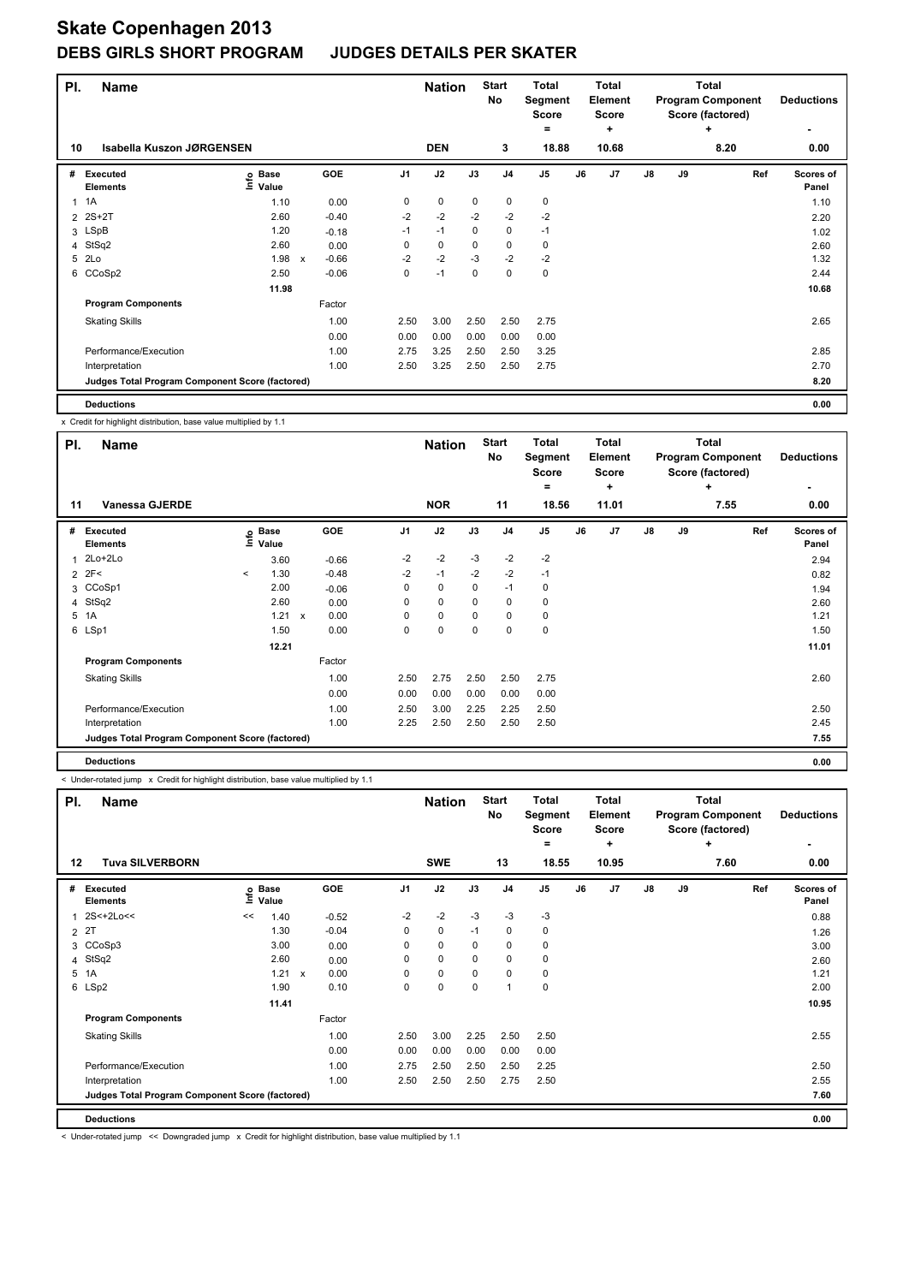| PI.            | <b>Name</b>                                     |                              |                           |            |                | <b>Nation</b> |             | <b>Start</b><br>No | <b>Total</b><br>Segment<br><b>Score</b><br>٠ |    | Total<br>Element<br><b>Score</b><br>٠ |               |    | <b>Total</b><br><b>Program Component</b><br>Score (factored)<br>٠ | <b>Deductions</b><br>۰ |
|----------------|-------------------------------------------------|------------------------------|---------------------------|------------|----------------|---------------|-------------|--------------------|----------------------------------------------|----|---------------------------------------|---------------|----|-------------------------------------------------------------------|------------------------|
| 10             | Isabella Kuszon JØRGENSEN                       |                              |                           |            |                | <b>DEN</b>    |             | 3                  | 18.88                                        |    | 10.68                                 |               |    | 8.20                                                              | 0.00                   |
| #              | Executed<br><b>Elements</b>                     | <b>Base</b><br>lnfo<br>Value |                           | <b>GOE</b> | J <sub>1</sub> | J2            | J3          | J <sub>4</sub>     | J <sub>5</sub>                               | J6 | J <sub>7</sub>                        | $\mathsf{J}8$ | J9 | Ref                                                               | Scores of<br>Panel     |
| 1              | 1A                                              | 1.10                         |                           | 0.00       | 0              | 0             | 0           | 0                  | 0                                            |    |                                       |               |    |                                                                   | 1.10                   |
| $\overline{2}$ | $2S+2T$                                         | 2.60                         |                           | $-0.40$    | $-2$           | $-2$          | $-2$        | $-2$               | $-2$                                         |    |                                       |               |    |                                                                   | 2.20                   |
|                | 3 LSpB                                          | 1.20                         |                           | $-0.18$    | $-1$           | $-1$          | 0           | 0                  | $-1$                                         |    |                                       |               |    |                                                                   | 1.02                   |
|                | 4 StSq2                                         | 2.60                         |                           | 0.00       | 0              | 0             | 0           | 0                  | 0                                            |    |                                       |               |    |                                                                   | 2.60                   |
| 5              | 2Lo                                             | 1.98                         | $\boldsymbol{\mathsf{x}}$ | $-0.66$    | $-2$           | $-2$          | $-3$        | $-2$               | $-2$                                         |    |                                       |               |    |                                                                   | 1.32                   |
|                | 6 CCoSp2                                        | 2.50                         |                           | $-0.06$    | 0              | $-1$          | $\mathbf 0$ | $\mathbf 0$        | 0                                            |    |                                       |               |    |                                                                   | 2.44                   |
|                |                                                 | 11.98                        |                           |            |                |               |             |                    |                                              |    |                                       |               |    |                                                                   | 10.68                  |
|                | <b>Program Components</b>                       |                              |                           | Factor     |                |               |             |                    |                                              |    |                                       |               |    |                                                                   |                        |
|                | <b>Skating Skills</b>                           |                              |                           | 1.00       | 2.50           | 3.00          | 2.50        | 2.50               | 2.75                                         |    |                                       |               |    |                                                                   | 2.65                   |
|                |                                                 |                              |                           | 0.00       | 0.00           | 0.00          | 0.00        | 0.00               | 0.00                                         |    |                                       |               |    |                                                                   |                        |
|                | Performance/Execution                           |                              |                           | 1.00       | 2.75           | 3.25          | 2.50        | 2.50               | 3.25                                         |    |                                       |               |    |                                                                   | 2.85                   |
|                | Interpretation                                  |                              |                           | 1.00       | 2.50           | 3.25          | 2.50        | 2.50               | 2.75                                         |    |                                       |               |    |                                                                   | 2.70                   |
|                | Judges Total Program Component Score (factored) |                              |                           |            |                |               |             |                    |                                              |    |                                       |               |    |                                                                   | 8.20                   |
|                | <b>Deductions</b>                               |                              |                           |            |                |               |             |                    |                                              |    |                                       |               |    |                                                                   | 0.00                   |

x Credit for highlight distribution, base value multiplied by 1.1

| PI.            | Name                                            |         |                            |              |            |                | <b>Nation</b> |             | <b>Start</b><br>No | <b>Total</b><br>Segment<br><b>Score</b><br>Ξ. |    | Total<br>Element<br><b>Score</b><br>÷ |    |    | <b>Total</b><br><b>Program Component</b><br>Score (factored)<br>÷ | <b>Deductions</b>  |
|----------------|-------------------------------------------------|---------|----------------------------|--------------|------------|----------------|---------------|-------------|--------------------|-----------------------------------------------|----|---------------------------------------|----|----|-------------------------------------------------------------------|--------------------|
| 11             | <b>Vanessa GJERDE</b>                           |         |                            |              |            |                | <b>NOR</b>    |             | 11                 | 18.56                                         |    | 11.01                                 |    |    | 7.55                                                              | 0.00               |
| #              | Executed<br><b>Elements</b>                     |         | e Base<br>⊆ Value<br>Value |              | <b>GOE</b> | J <sub>1</sub> | J2            | J3          | J <sub>4</sub>     | J <sub>5</sub>                                | J6 | J7                                    | J8 | J9 | Ref                                                               | Scores of<br>Panel |
| 1              | $2Lo+2Lo$                                       |         | 3.60                       |              | $-0.66$    | $-2$           | $-2$          | $-3$        | $-2$               | $-2$                                          |    |                                       |    |    |                                                                   | 2.94               |
| $\overline{2}$ | 2F<                                             | $\prec$ | 1.30                       |              | $-0.48$    | $-2$           | $-1$          | $-2$        | $-2$               | $-1$                                          |    |                                       |    |    |                                                                   | 0.82               |
|                | 3 CCoSp1                                        |         | 2.00                       |              | $-0.06$    | 0              | $\mathbf 0$   | 0           | $-1$               | 0                                             |    |                                       |    |    |                                                                   | 1.94               |
| $\overline{4}$ | StSq2                                           |         | 2.60                       |              | 0.00       | 0              | 0             | $\Omega$    | 0                  | 0                                             |    |                                       |    |    |                                                                   | 2.60               |
| 5              | 1A                                              |         | 1.21                       | $\mathbf{x}$ | 0.00       | 0              | $\mathbf 0$   | $\mathbf 0$ | $\mathbf 0$        | 0                                             |    |                                       |    |    |                                                                   | 1.21               |
|                | 6 LSp1                                          |         | 1.50                       |              | 0.00       | 0              | $\mathbf 0$   | $\mathbf 0$ | $\mathbf 0$        | $\pmb{0}$                                     |    |                                       |    |    |                                                                   | 1.50               |
|                |                                                 |         | 12.21                      |              |            |                |               |             |                    |                                               |    |                                       |    |    |                                                                   | 11.01              |
|                | <b>Program Components</b>                       |         |                            |              | Factor     |                |               |             |                    |                                               |    |                                       |    |    |                                                                   |                    |
|                | <b>Skating Skills</b>                           |         |                            |              | 1.00       | 2.50           | 2.75          | 2.50        | 2.50               | 2.75                                          |    |                                       |    |    |                                                                   | 2.60               |
|                |                                                 |         |                            |              | 0.00       | 0.00           | 0.00          | 0.00        | 0.00               | 0.00                                          |    |                                       |    |    |                                                                   |                    |
|                | Performance/Execution                           |         |                            |              | 1.00       | 2.50           | 3.00          | 2.25        | 2.25               | 2.50                                          |    |                                       |    |    |                                                                   | 2.50               |
|                | Interpretation                                  |         |                            |              | 1.00       | 2.25           | 2.50          | 2.50        | 2.50               | 2.50                                          |    |                                       |    |    |                                                                   | 2.45               |
|                | Judges Total Program Component Score (factored) |         |                            |              |            |                |               |             |                    |                                               |    |                                       |    |    |                                                                   | 7.55               |
|                | <b>Deductions</b>                               |         |                            |              |            |                |               |             |                    |                                               |    |                                       |    |    |                                                                   | 0.00               |

< Under-rotated jump x Credit for highlight distribution, base value multiplied by 1.1

| PI. | <b>Name</b>                                     |                   |       | <b>Nation</b> |         | <b>Start</b><br>No | <b>Total</b><br>Segment<br><b>Score</b> |          | <b>Total</b><br>Element<br><b>Score</b> |                |    | <b>Total</b><br><b>Program Component</b><br>Score (factored) | <b>Deductions</b> |    |           |                    |
|-----|-------------------------------------------------|-------------------|-------|---------------|---------|--------------------|-----------------------------------------|----------|-----------------------------------------|----------------|----|--------------------------------------------------------------|-------------------|----|-----------|--------------------|
| 12  | <b>Tuva SILVERBORN</b>                          |                   |       |               |         |                    | <b>SWE</b>                              |          | 13                                      | $=$<br>18.55   |    | ÷<br>10.95                                                   |                   |    | ÷<br>7.60 | 0.00               |
|     |                                                 |                   |       |               |         |                    |                                         |          |                                         |                |    |                                                              |                   |    |           |                    |
| #   | Executed<br><b>Elements</b>                     | e Base<br>E Value | Value |               | GOE     | J1                 | J2                                      | J3       | J <sub>4</sub>                          | J <sub>5</sub> | J6 | J <sub>7</sub>                                               | J8                | J9 | Ref       | Scores of<br>Panel |
| 1   | 2S<+2Lo<<                                       | <<                | 1.40  |               | $-0.52$ | $-2$               | $-2$                                    | $-3$     | $-3$                                    | $-3$           |    |                                                              |                   |    |           | 0.88               |
|     | 2 2T                                            |                   | 1.30  |               | $-0.04$ | 0                  | 0                                       | $-1$     | 0                                       | 0              |    |                                                              |                   |    |           | 1.26               |
|     | 3 CCoSp3                                        |                   | 3.00  |               | 0.00    | 0                  | 0                                       | 0        | 0                                       | 0              |    |                                                              |                   |    |           | 3.00               |
|     | 4 StSq2                                         |                   | 2.60  |               | 0.00    | $\Omega$           | $\Omega$                                | $\Omega$ | 0                                       | 0              |    |                                                              |                   |    |           | 2.60               |
|     | 5 1A                                            |                   | 1.21  | $\mathsf{x}$  | 0.00    | 0                  | 0                                       | $\Omega$ | $\mathbf 0$                             | 0              |    |                                                              |                   |    |           | 1.21               |
|     | 6 LSp2                                          |                   | 1.90  |               | 0.10    | 0                  | $\mathbf 0$                             | $\Omega$ | $\overline{1}$                          | 0              |    |                                                              |                   |    |           | 2.00               |
|     |                                                 |                   | 11.41 |               |         |                    |                                         |          |                                         |                |    |                                                              |                   |    |           | 10.95              |
|     | <b>Program Components</b>                       |                   |       |               | Factor  |                    |                                         |          |                                         |                |    |                                                              |                   |    |           |                    |
|     | <b>Skating Skills</b>                           |                   |       |               | 1.00    | 2.50               | 3.00                                    | 2.25     | 2.50                                    | 2.50           |    |                                                              |                   |    |           | 2.55               |
|     |                                                 |                   |       |               | 0.00    | 0.00               | 0.00                                    | 0.00     | 0.00                                    | 0.00           |    |                                                              |                   |    |           |                    |
|     | Performance/Execution                           |                   |       |               | 1.00    | 2.75               | 2.50                                    | 2.50     | 2.50                                    | 2.25           |    |                                                              |                   |    |           | 2.50               |
|     | Interpretation                                  |                   |       |               | 1.00    | 2.50               | 2.50                                    | 2.50     | 2.75                                    | 2.50           |    |                                                              |                   |    |           | 2.55               |
|     | Judges Total Program Component Score (factored) |                   |       |               |         |                    |                                         |          |                                         |                |    |                                                              |                   |    |           | 7.60               |
|     | <b>Deductions</b>                               |                   |       |               |         |                    |                                         |          |                                         |                |    |                                                              |                   |    |           | 0.00               |

< Under-rotated jump << Downgraded jump x Credit for highlight distribution, base value multiplied by 1.1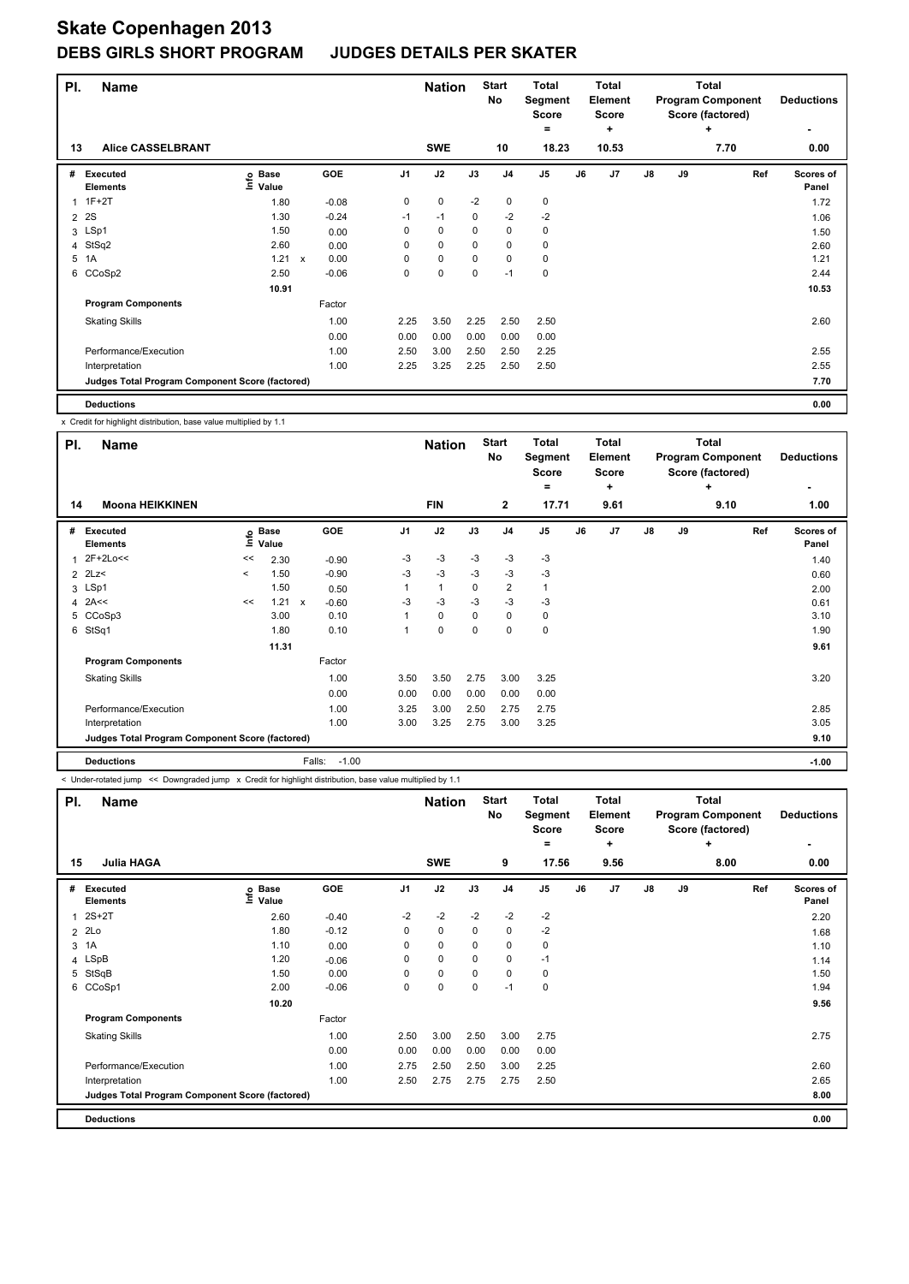| PI.            | <b>Name</b>                                     |                            |                           |            |                | <b>Nation</b> |             | <b>Start</b><br><b>No</b> | <b>Total</b><br>Segment<br><b>Score</b> |    | <b>Total</b><br>Element<br><b>Score</b> |               |    | <b>Total</b><br><b>Program Component</b><br>Score (factored) | <b>Deductions</b>      |
|----------------|-------------------------------------------------|----------------------------|---------------------------|------------|----------------|---------------|-------------|---------------------------|-----------------------------------------|----|-----------------------------------------|---------------|----|--------------------------------------------------------------|------------------------|
| 13             | <b>Alice CASSELBRANT</b>                        |                            |                           |            |                | <b>SWE</b>    |             | 10                        | $=$<br>18.23                            |    | ٠<br>10.53                              |               |    | ٠<br>7.70                                                    | $\blacksquare$<br>0.00 |
| #              | Executed<br><b>Elements</b>                     | e Base<br>⊆ Value<br>Value |                           | <b>GOE</b> | J <sub>1</sub> | J2            | J3          | J <sub>4</sub>            | J5                                      | J6 | J7                                      | $\mathsf{J}8$ | J9 | Ref                                                          | Scores of<br>Panel     |
| 1              | $1F+2T$                                         | 1.80                       |                           | $-0.08$    | 0              | $\pmb{0}$     | $-2$        | 0                         | 0                                       |    |                                         |               |    |                                                              | 1.72                   |
| $\overline{2}$ | 2S                                              | 1.30                       |                           | $-0.24$    | $-1$           | $-1$          | 0           | $-2$                      | $-2$                                    |    |                                         |               |    |                                                              | 1.06                   |
|                | 3 LSp1                                          | 1.50                       |                           | 0.00       | 0              | $\mathbf 0$   | 0           | 0                         | $\mathbf 0$                             |    |                                         |               |    |                                                              | 1.50                   |
| 4              | StSq2                                           | 2.60                       |                           | 0.00       | 0              | $\mathbf 0$   | 0           | $\mathbf 0$               | $\mathbf 0$                             |    |                                         |               |    |                                                              | 2.60                   |
| 5              | 1A                                              | 1.21                       | $\boldsymbol{\mathsf{x}}$ | 0.00       | $\Omega$       | $\mathbf 0$   | $\Omega$    | $\mathbf 0$               | 0                                       |    |                                         |               |    |                                                              | 1.21                   |
| 6              | CCoSp2                                          | 2.50                       |                           | $-0.06$    | 0              | $\mathbf 0$   | $\mathbf 0$ | $-1$                      | 0                                       |    |                                         |               |    |                                                              | 2.44                   |
|                |                                                 | 10.91                      |                           |            |                |               |             |                           |                                         |    |                                         |               |    |                                                              | 10.53                  |
|                | <b>Program Components</b>                       |                            |                           | Factor     |                |               |             |                           |                                         |    |                                         |               |    |                                                              |                        |
|                | <b>Skating Skills</b>                           |                            |                           | 1.00       | 2.25           | 3.50          | 2.25        | 2.50                      | 2.50                                    |    |                                         |               |    |                                                              | 2.60                   |
|                |                                                 |                            |                           | 0.00       | 0.00           | 0.00          | 0.00        | 0.00                      | 0.00                                    |    |                                         |               |    |                                                              |                        |
|                | Performance/Execution                           |                            |                           | 1.00       | 2.50           | 3.00          | 2.50        | 2.50                      | 2.25                                    |    |                                         |               |    |                                                              | 2.55                   |
|                | Interpretation                                  |                            |                           | 1.00       | 2.25           | 3.25          | 2.25        | 2.50                      | 2.50                                    |    |                                         |               |    |                                                              | 2.55                   |
|                | Judges Total Program Component Score (factored) |                            |                           |            |                |               |             |                           |                                         |    |                                         |               |    |                                                              | 7.70                   |
|                | <b>Deductions</b>                               |                            |                           |            |                |               |             |                           |                                         |    |                                         |               |    |                                                              | 0.00                   |

x Credit for highlight distribution, base value multiplied by 1.1

| PI. | <b>Name</b>                                     |         |                            |              |            |                | <b>Nation</b> |          | <b>Start</b><br><b>No</b> | <b>Total</b><br>Segment<br><b>Score</b><br>= |    | <b>Total</b><br>Element<br><b>Score</b><br>÷ |    | <b>Total</b><br><b>Program Component</b><br>Score (factored) | <b>Deductions</b> |                           |
|-----|-------------------------------------------------|---------|----------------------------|--------------|------------|----------------|---------------|----------|---------------------------|----------------------------------------------|----|----------------------------------------------|----|--------------------------------------------------------------|-------------------|---------------------------|
| 14  | <b>Moona HEIKKINEN</b>                          |         |                            |              |            |                | <b>FIN</b>    |          | $\mathbf{2}$              | 17.71                                        |    | 9.61                                         |    |                                                              | 9.10              | 1.00                      |
| #   | <b>Executed</b><br><b>Elements</b>              |         | e Base<br>⊆ Value<br>Value |              | <b>GOE</b> | J <sub>1</sub> | J2            | J3       | J <sub>4</sub>            | J5                                           | J6 | J7                                           | J8 | J9                                                           | Ref               | <b>Scores of</b><br>Panel |
| 1   | 2F+2Lo<<                                        | <<      | 2.30                       |              | $-0.90$    | $-3$           | -3            | $-3$     | $-3$                      | $-3$                                         |    |                                              |    |                                                              |                   | 1.40                      |
|     | $2$ $2Lz$                                       | $\prec$ | 1.50                       |              | $-0.90$    | $-3$           | $-3$          | $-3$     | $-3$                      | $-3$                                         |    |                                              |    |                                                              |                   | 0.60                      |
|     | 3 LSp1                                          |         | 1.50                       |              | 0.50       |                | $\mathbf{1}$  | 0        | $\overline{2}$            | $\mathbf{1}$                                 |    |                                              |    |                                                              |                   | 2.00                      |
|     | 4 $2A <<$                                       | <<      | 1.21                       | $\mathsf{x}$ | $-0.60$    | -3             | $-3$          | $-3$     | $-3$                      | $-3$                                         |    |                                              |    |                                                              |                   | 0.61                      |
|     | 5 CCoSp3                                        |         | 3.00                       |              | 0.10       |                | $\mathbf 0$   | $\Omega$ | $\mathbf 0$               | 0                                            |    |                                              |    |                                                              |                   | 3.10                      |
| 6   | StSq1                                           |         | 1.80                       |              | 0.10       |                | $\mathbf 0$   | $\Omega$ | $\mathbf 0$               | $\mathbf 0$                                  |    |                                              |    |                                                              |                   | 1.90                      |
|     |                                                 |         | 11.31                      |              |            |                |               |          |                           |                                              |    |                                              |    |                                                              |                   | 9.61                      |
|     | <b>Program Components</b>                       |         |                            |              | Factor     |                |               |          |                           |                                              |    |                                              |    |                                                              |                   |                           |
|     | <b>Skating Skills</b>                           |         |                            |              | 1.00       | 3.50           | 3.50          | 2.75     | 3.00                      | 3.25                                         |    |                                              |    |                                                              |                   | 3.20                      |
|     |                                                 |         |                            |              | 0.00       | 0.00           | 0.00          | 0.00     | 0.00                      | 0.00                                         |    |                                              |    |                                                              |                   |                           |
|     | Performance/Execution                           |         |                            |              | 1.00       | 3.25           | 3.00          | 2.50     | 2.75                      | 2.75                                         |    |                                              |    |                                                              |                   | 2.85                      |
|     | Interpretation                                  |         |                            |              | 1.00       | 3.00           | 3.25          | 2.75     | 3.00                      | 3.25                                         |    |                                              |    |                                                              |                   | 3.05                      |
|     | Judges Total Program Component Score (factored) |         |                            |              |            |                |               |          |                           |                                              |    |                                              |    |                                                              |                   | 9.10                      |
|     | <b>Deductions</b>                               |         |                            | Falls:       | $-1.00$    |                |               |          |                           |                                              |    |                                              |    |                                                              |                   | $-1.00$                   |

< Under-rotated jump << Downgraded jump x Credit for highlight distribution, base value multiplied by 1.1

| PI.          | Name                                            |                            |         |                | <b>Start</b><br><b>Nation</b><br>No |             |                | <b>Total</b><br>Segment<br><b>Score</b><br>۰ |    | <b>Total</b><br>Element<br><b>Score</b><br>٠ |               |    | <b>Total</b><br><b>Program Component</b><br>Score (factored)<br>÷ | <b>Deductions</b><br>٠    |
|--------------|-------------------------------------------------|----------------------------|---------|----------------|-------------------------------------|-------------|----------------|----------------------------------------------|----|----------------------------------------------|---------------|----|-------------------------------------------------------------------|---------------------------|
| 15           | <b>Julia HAGA</b>                               |                            |         |                | <b>SWE</b>                          |             | 9              | 17.56                                        |    | 9.56                                         |               |    | 8.00                                                              | 0.00                      |
| #            | Executed<br><b>Elements</b>                     | e Base<br>E Value<br>Value | GOE     | J <sub>1</sub> | J2                                  | J3          | J <sub>4</sub> | J5                                           | J6 | J <sub>7</sub>                               | $\mathsf{J}8$ | J9 | Ref                                                               | <b>Scores of</b><br>Panel |
| $\mathbf{1}$ | $2S+2T$                                         | 2.60                       | $-0.40$ | $-2$           | $-2$                                | $-2$        | $-2$           | $-2$                                         |    |                                              |               |    |                                                                   | 2.20                      |
|              | $2$ $2Lo$                                       | 1.80                       | $-0.12$ | 0              | 0                                   | $\mathbf 0$ | 0              | $-2$                                         |    |                                              |               |    |                                                                   | 1.68                      |
|              | 3 1A                                            | 1.10                       | 0.00    | 0              | 0                                   | $\Omega$    | 0              | 0                                            |    |                                              |               |    |                                                                   | 1.10                      |
|              | 4 LSpB                                          | 1.20                       | $-0.06$ | 0              | 0                                   | $\mathbf 0$ | $\mathbf 0$    | $-1$                                         |    |                                              |               |    |                                                                   | 1.14                      |
|              | 5 StSqB                                         | 1.50                       | 0.00    | 0              | 0                                   | $\mathbf 0$ | $\mathbf 0$    | 0                                            |    |                                              |               |    |                                                                   | 1.50                      |
|              | 6 CCoSp1                                        | 2.00                       | $-0.06$ | 0              | 0                                   | $\mathbf 0$ | $-1$           | 0                                            |    |                                              |               |    |                                                                   | 1.94                      |
|              |                                                 | 10.20                      |         |                |                                     |             |                |                                              |    |                                              |               |    |                                                                   | 9.56                      |
|              | <b>Program Components</b>                       |                            | Factor  |                |                                     |             |                |                                              |    |                                              |               |    |                                                                   |                           |
|              | <b>Skating Skills</b>                           |                            | 1.00    | 2.50           | 3.00                                | 2.50        | 3.00           | 2.75                                         |    |                                              |               |    |                                                                   | 2.75                      |
|              |                                                 |                            | 0.00    | 0.00           | 0.00                                | 0.00        | 0.00           | 0.00                                         |    |                                              |               |    |                                                                   |                           |
|              | Performance/Execution                           |                            | 1.00    | 2.75           | 2.50                                | 2.50        | 3.00           | 2.25                                         |    |                                              |               |    |                                                                   | 2.60                      |
|              | Interpretation                                  |                            | 1.00    | 2.50           | 2.75                                | 2.75        | 2.75           | 2.50                                         |    |                                              |               |    |                                                                   | 2.65                      |
|              | Judges Total Program Component Score (factored) |                            |         |                |                                     |             |                |                                              |    |                                              |               |    |                                                                   | 8.00                      |
|              | <b>Deductions</b>                               |                            |         |                |                                     |             |                |                                              |    |                                              |               |    |                                                                   | 0.00                      |